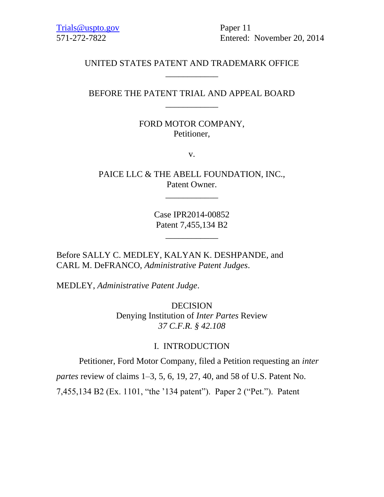[Trials@uspto.gov](mailto:Trials@uspto.gov) Paper 11

571-272-7822 Entered: November 20, 2014

## UNITED STATES PATENT AND TRADEMARK OFFICE \_\_\_\_\_\_\_\_\_\_\_\_

## BEFORE THE PATENT TRIAL AND APPEAL BOARD \_\_\_\_\_\_\_\_\_\_\_\_

## FORD MOTOR COMPANY, Petitioner,

v.

PAICE LLC & THE ABELL FOUNDATION, INC., Patent Owner.

\_\_\_\_\_\_\_\_\_\_\_\_

Case IPR2014-00852 Patent 7,455,134 B2

\_\_\_\_\_\_\_\_\_\_\_\_

Before SALLY C. MEDLEY, KALYAN K. DESHPANDE, and CARL M. DeFRANCO, *Administrative Patent Judges*.

MEDLEY, *Administrative Patent Judge*.

DECISION Denying Institution of *Inter Partes* Review *37 C.F.R. § 42.108*

## I. INTRODUCTION

Petitioner, Ford Motor Company, filed a Petition requesting an *inter* 

*partes* review of claims 1–3, 5, 6, 19, 27, 40, and 58 of U.S. Patent No.

7,455,134 B2 (Ex. 1101, "the '134 patent"). Paper 2 ("Pet."). Patent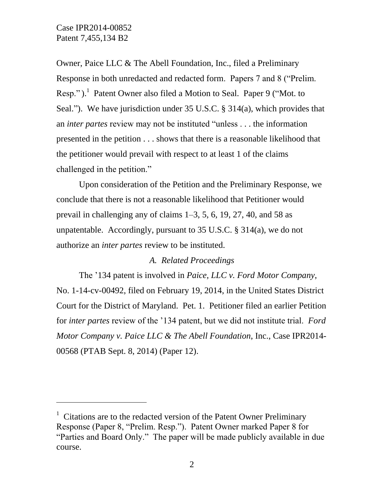$\overline{a}$ 

Owner, Paice LLC & The Abell Foundation, Inc., filed a Preliminary Response in both unredacted and redacted form. Papers 7 and 8 ("Prelim. Resp.").<sup>1</sup> Patent Owner also filed a Motion to Seal. Paper 9 ("Mot. to Seal."). We have jurisdiction under 35 U.S.C. § 314(a), which provides that an *inter partes* review may not be instituted "unless . . . the information presented in the petition . . . shows that there is a reasonable likelihood that the petitioner would prevail with respect to at least 1 of the claims challenged in the petition."

Upon consideration of the Petition and the Preliminary Response, we conclude that there is not a reasonable likelihood that Petitioner would prevail in challenging any of claims 1–3, 5, 6, 19, 27, 40, and 58 as unpatentable. Accordingly, pursuant to 35 U.S.C. § 314(a), we do not authorize an *inter partes* review to be instituted.

## *A. Related Proceedings*

The '134 patent is involved in *Paice, LLC v. Ford Motor Company*, No. 1-14-cv-00492, filed on February 19, 2014, in the United States District Court for the District of Maryland. Pet. 1. Petitioner filed an earlier Petition for *inter partes* review of the '134 patent, but we did not institute trial. *Ford Motor Company v. Paice LLC & The Abell Foundation*, Inc., Case IPR2014- 00568 (PTAB Sept. 8, 2014) (Paper 12).

<sup>&</sup>lt;sup>1</sup> Citations are to the redacted version of the Patent Owner Preliminary Response (Paper 8, "Prelim. Resp."). Patent Owner marked Paper 8 for "Parties and Board Only." The paper will be made publicly available in due course.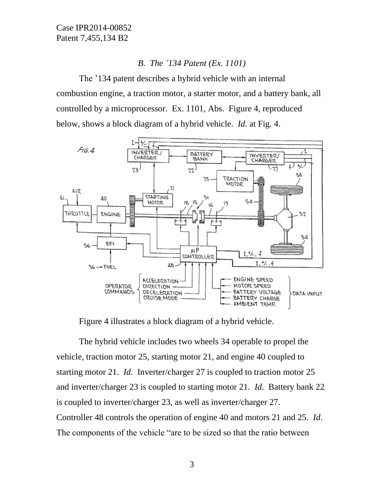## *B. The '134 Patent (Ex. 1101)*

The '134 patent describes a hybrid vehicle with an internal combustion engine, a traction motor, a starter motor, and a battery bank, all controlled by a microprocessor. Ex. 1101, Abs. Figure 4, reproduced below, shows a block diagram of a hybrid vehicle. *Id*. at Fig. 4.



Figure 4 illustrates a block diagram of a hybrid vehicle.

The hybrid vehicle includes two wheels 34 operable to propel the vehicle, traction motor 25, starting motor 21, and engine 40 coupled to starting motor 21. *Id.* Inverter/charger 27 is coupled to traction motor 25 and inverter/charger 23 is coupled to starting motor 21. *Id*. Battery bank 22 is coupled to inverter/charger 23, as well as inverter/charger 27. Controller 48 controls the operation of engine 40 and motors 21 and 25. *Id*. The components of the vehicle "are to be sized so that the ratio between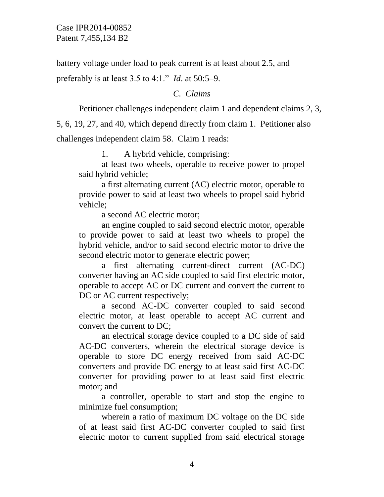battery voltage under load to peak current is at least about 2.5, and

preferably is at least 3.5 to 4:1." *Id*. at 50:5–9.

*C. Claims*

Petitioner challenges independent claim 1 and dependent claims 2, 3,

5, 6, 19, 27, and 40, which depend directly from claim 1. Petitioner also challenges independent claim 58. Claim 1 reads:

1. A hybrid vehicle, comprising:

at least two wheels, operable to receive power to propel said hybrid vehicle;

a first alternating current (AC) electric motor, operable to provide power to said at least two wheels to propel said hybrid vehicle;

a second AC electric motor;

an engine coupled to said second electric motor, operable to provide power to said at least two wheels to propel the hybrid vehicle, and/or to said second electric motor to drive the second electric motor to generate electric power;

a first alternating current-direct current (AC-DC) converter having an AC side coupled to said first electric motor, operable to accept AC or DC current and convert the current to DC or AC current respectively;

a second AC-DC converter coupled to said second electric motor, at least operable to accept AC current and convert the current to DC;

an electrical storage device coupled to a DC side of said AC-DC converters, wherein the electrical storage device is operable to store DC energy received from said AC-DC converters and provide DC energy to at least said first AC-DC converter for providing power to at least said first electric motor; and

a controller, operable to start and stop the engine to minimize fuel consumption;

wherein a ratio of maximum DC voltage on the DC side of at least said first AC-DC converter coupled to said first electric motor to current supplied from said electrical storage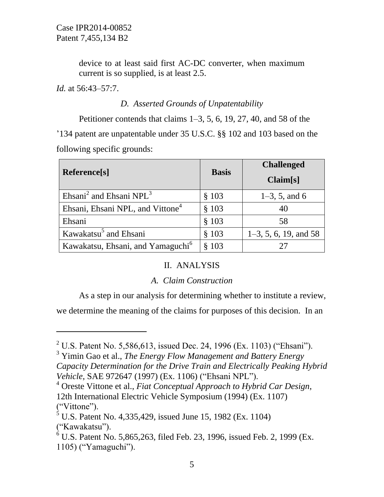device to at least said first AC-DC converter, when maximum current is so supplied, is at least 2.5.

*Id.* at 56:43–57:7.

l

# *D. Asserted Grounds of Unpatentability*

Petitioner contends that claims 1–3, 5, 6, 19, 27, 40, and 58 of the '134 patent are unpatentable under 35 U.S.C. §§ 102 and 103 based on the following specific grounds:

| Reference[s]                                    | <b>Basis</b> | <b>Challenged</b><br>Claim[s] |
|-------------------------------------------------|--------------|-------------------------------|
| Ehsani <sup>2</sup> and Ehsani NPL <sup>3</sup> | \$103        | $1-3, 5,$ and 6               |
| Ehsani, Ehsani NPL, and Vittone <sup>4</sup>    | \$103        |                               |
| Ehsani                                          | \$103        | 58                            |
| Kawakatsu <sup>5</sup> and Ehsani               | \$103        | $1-3, 5, 6, 19,$ and 58       |
| Kawakatsu, Ehsani, and Yamaguchi <sup>6</sup>   | \$103        |                               |

# II. ANALYSIS

## *A. Claim Construction*

As a step in our analysis for determining whether to institute a review,

we determine the meaning of the claims for purposes of this decision. In an

<sup>2</sup> U.S. Patent No. 5,586,613, issued Dec. 24, 1996 (Ex. 1103) ("Ehsani").

<sup>3</sup> Yimin Gao et al., *The Energy Flow Management and Battery Energy Capacity Determination for the Drive Train and Electrically Peaking Hybrid Vehicle*, SAE 972647 (1997) (Ex. 1106) ("Ehsani NPL").

<sup>4</sup> Oreste Vittone et al., *Fiat Conceptual Approach to Hybrid Car Design*, 12th International Electric Vehicle Symposium (1994) (Ex. 1107) ("Vittone").

 $5 \text{ U.S.}$  Patent No. 4,335,429, issued June 15, 1982 (Ex. 1104) ("Kawakatsu").

 $6$  U.S. Patent No. 5,865,263, filed Feb. 23, 1996, issued Feb. 2, 1999 (Ex. 1105) ("Yamaguchi").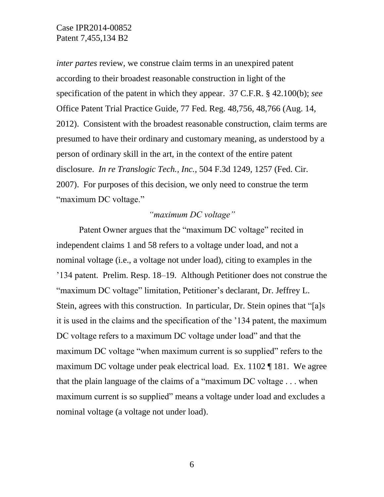*inter partes* review, we construe claim terms in an unexpired patent according to their broadest reasonable construction in light of the specification of the patent in which they appear. 37 C.F.R. § 42.100(b); *see*  Office Patent Trial Practice Guide, 77 Fed. Reg. 48,756, 48,766 (Aug. 14, 2012). Consistent with the broadest reasonable construction, claim terms are presumed to have their ordinary and customary meaning, as understood by a person of ordinary skill in the art, in the context of the entire patent disclosure. *In re Translogic Tech., Inc.*, 504 F.3d 1249, 1257 (Fed. Cir. 2007). For purposes of this decision, we only need to construe the term "maximum DC voltage."

## *"maximum DC voltage"*

Patent Owner argues that the "maximum DC voltage" recited in independent claims 1 and 58 refers to a voltage under load, and not a nominal voltage (i.e., a voltage not under load), citing to examples in the '134 patent. Prelim. Resp. 18–19. Although Petitioner does not construe the "maximum DC voltage" limitation, Petitioner's declarant, Dr. Jeffrey L. Stein, agrees with this construction. In particular, Dr. Stein opines that "[a]s it is used in the claims and the specification of the '134 patent, the maximum DC voltage refers to a maximum DC voltage under load" and that the maximum DC voltage "when maximum current is so supplied" refers to the maximum DC voltage under peak electrical load. Ex. 1102 ¶ 181. We agree that the plain language of the claims of a "maximum DC voltage . . . when maximum current is so supplied" means a voltage under load and excludes a nominal voltage (a voltage not under load).

6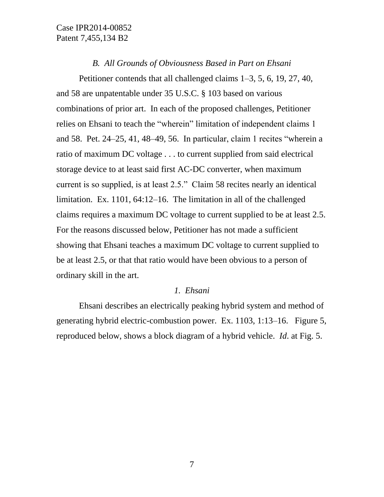#### *B. All Grounds of Obviousness Based in Part on Ehsani*

Petitioner contends that all challenged claims 1–3, 5, 6, 19, 27, 40, and 58 are unpatentable under 35 U.S.C. § 103 based on various combinations of prior art. In each of the proposed challenges, Petitioner relies on Ehsani to teach the "wherein" limitation of independent claims 1 and 58. Pet. 24–25, 41, 48–49, 56. In particular, claim 1 recites "wherein a ratio of maximum DC voltage . . . to current supplied from said electrical storage device to at least said first AC-DC converter, when maximum current is so supplied, is at least 2.5." Claim 58 recites nearly an identical limitation. Ex. 1101, 64:12–16. The limitation in all of the challenged claims requires a maximum DC voltage to current supplied to be at least 2.5. For the reasons discussed below, Petitioner has not made a sufficient showing that Ehsani teaches a maximum DC voltage to current supplied to be at least 2.5, or that that ratio would have been obvious to a person of ordinary skill in the art.

## *1. Ehsani*

Ehsani describes an electrically peaking hybrid system and method of generating hybrid electric-combustion power. Ex. 1103, 1:13–16. Figure 5, reproduced below, shows a block diagram of a hybrid vehicle. *Id*. at Fig. 5.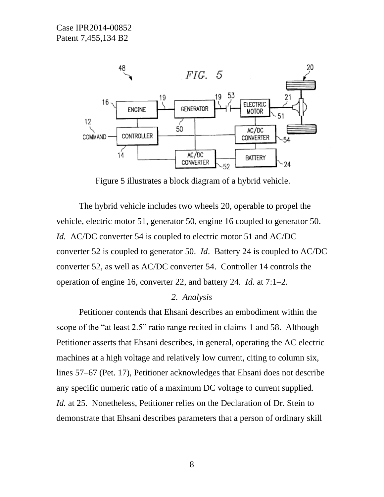

Figure 5 illustrates a block diagram of a hybrid vehicle.

The hybrid vehicle includes two wheels 20, operable to propel the vehicle, electric motor 51, generator 50, engine 16 coupled to generator 50. *Id.* AC/DC converter 54 is coupled to electric motor 51 and AC/DC converter 52 is coupled to generator 50. *Id*. Battery 24 is coupled to AC/DC converter 52, as well as AC/DC converter 54. Controller 14 controls the operation of engine 16, converter 22, and battery 24. *Id*. at 7:1–2.

#### *2. Analysis*

Petitioner contends that Ehsani describes an embodiment within the scope of the "at least 2.5" ratio range recited in claims 1 and 58. Although Petitioner asserts that Ehsani describes, in general, operating the AC electric machines at a high voltage and relatively low current, citing to column six, lines 57–67 (Pet. 17), Petitioner acknowledges that Ehsani does not describe any specific numeric ratio of a maximum DC voltage to current supplied. *Id.* at 25. Nonetheless, Petitioner relies on the Declaration of Dr. Stein to demonstrate that Ehsani describes parameters that a person of ordinary skill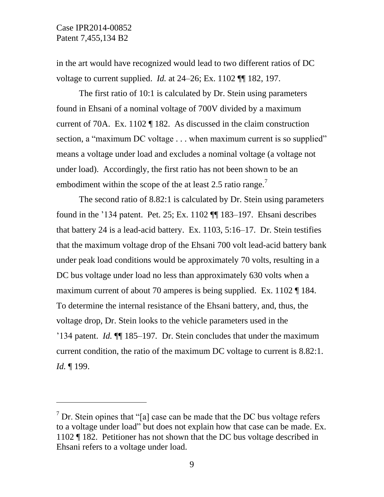$\overline{a}$ 

in the art would have recognized would lead to two different ratios of DC voltage to current supplied. *Id.* at 24–26; Ex. 1102 ¶¶ 182, 197.

The first ratio of 10:1 is calculated by Dr. Stein using parameters found in Ehsani of a nominal voltage of 700V divided by a maximum current of 70A. Ex. 1102 ¶ 182. As discussed in the claim construction section, a "maximum DC voltage . . . when maximum current is so supplied" means a voltage under load and excludes a nominal voltage (a voltage not under load). Accordingly, the first ratio has not been shown to be an embodiment within the scope of the at least 2.5 ratio range.<sup>7</sup>

The second ratio of 8.82:1 is calculated by Dr. Stein using parameters found in the '134 patent. Pet. 25; Ex. 1102 ¶¶ 183–197. Ehsani describes that battery 24 is a lead-acid battery. Ex. 1103, 5:16–17. Dr. Stein testifies that the maximum voltage drop of the Ehsani 700 volt lead-acid battery bank under peak load conditions would be approximately 70 volts, resulting in a DC bus voltage under load no less than approximately 630 volts when a maximum current of about 70 amperes is being supplied. Ex. 1102 ¶ 184. To determine the internal resistance of the Ehsani battery, and, thus, the voltage drop, Dr. Stein looks to the vehicle parameters used in the '134 patent. *Id.* ¶¶ 185–197*.* Dr. Stein concludes that under the maximum current condition, the ratio of the maximum DC voltage to current is 8.82:1. *Id.* ¶ 199.

 $<sup>7</sup>$  Dr. Stein opines that "[a] case can be made that the DC bus voltage refers</sup> to a voltage under load" but does not explain how that case can be made. Ex. 1102 ¶ 182. Petitioner has not shown that the DC bus voltage described in Ehsani refers to a voltage under load.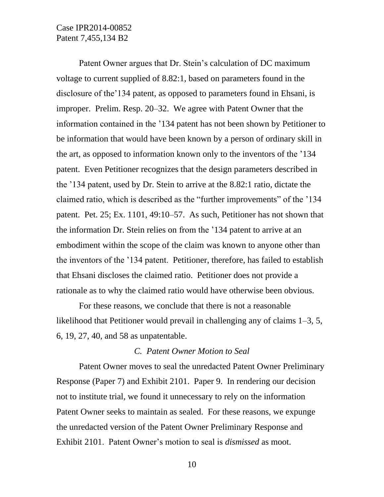Patent Owner argues that Dr. Stein's calculation of DC maximum voltage to current supplied of 8.82:1, based on parameters found in the disclosure of the'134 patent, as opposed to parameters found in Ehsani, is improper. Prelim. Resp. 20–32. We agree with Patent Owner that the information contained in the '134 patent has not been shown by Petitioner to be information that would have been known by a person of ordinary skill in the art, as opposed to information known only to the inventors of the '134 patent. Even Petitioner recognizes that the design parameters described in the '134 patent, used by Dr. Stein to arrive at the 8.82:1 ratio, dictate the claimed ratio, which is described as the "further improvements" of the '134 patent. Pet. 25; Ex. 1101, 49:10–57. As such, Petitioner has not shown that the information Dr. Stein relies on from the '134 patent to arrive at an embodiment within the scope of the claim was known to anyone other than the inventors of the '134 patent. Petitioner, therefore, has failed to establish that Ehsani discloses the claimed ratio. Petitioner does not provide a rationale as to why the claimed ratio would have otherwise been obvious.

For these reasons, we conclude that there is not a reasonable likelihood that Petitioner would prevail in challenging any of claims 1–3, 5, 6, 19, 27, 40, and 58 as unpatentable.

#### *C. Patent Owner Motion to Seal*

Patent Owner moves to seal the unredacted Patent Owner Preliminary Response (Paper 7) and Exhibit 2101. Paper 9. In rendering our decision not to institute trial, we found it unnecessary to rely on the information Patent Owner seeks to maintain as sealed. For these reasons, we expunge the unredacted version of the Patent Owner Preliminary Response and Exhibit 2101. Patent Owner's motion to seal is *dismissed* as moot.

10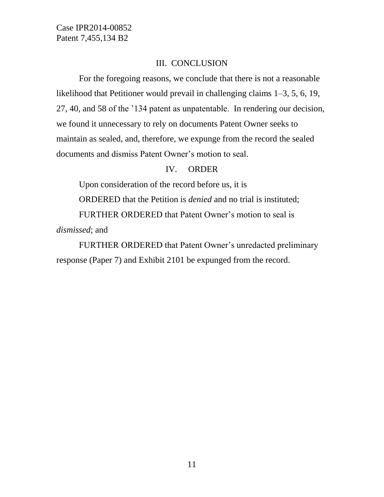### III. CONCLUSION

For the foregoing reasons, we conclude that there is not a reasonable likelihood that Petitioner would prevail in challenging claims 1–3, 5, 6, 19, 27, 40, and 58 of the '134 patent as unpatentable. In rendering our decision, we found it unnecessary to rely on documents Patent Owner seeks to maintain as sealed, and, therefore, we expunge from the record the sealed documents and dismiss Patent Owner's motion to seal.

### IV. ORDER

Upon consideration of the record before us, it is ORDERED that the Petition is *denied* and no trial is instituted; FURTHER ORDERED that Patent Owner's motion to seal is

*dismissed*; and

FURTHER ORDERED that Patent Owner's unredacted preliminary response (Paper 7) and Exhibit 2101 be expunged from the record.